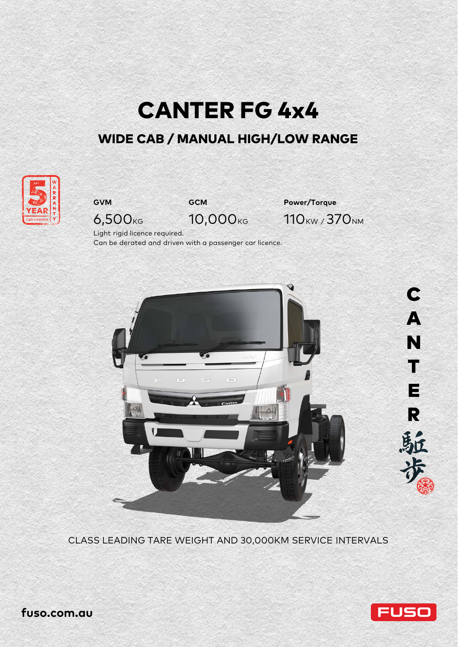

# WIDE CAB / MANUAL HIGH/LOW RANGE





**GVM GCM Power/Torque** 6,500<sub>KG</sub> 10,000<sub>KG</sub> 110<sub>KW</sub>/370<sub>NM</sub>

Light rigid licence required.

Can be derated and driven with a passenger car licence.



CLASS LEADING TARE WEIGHT AND 30,000KM SERVICE INTERVALS



**fuso.com.au**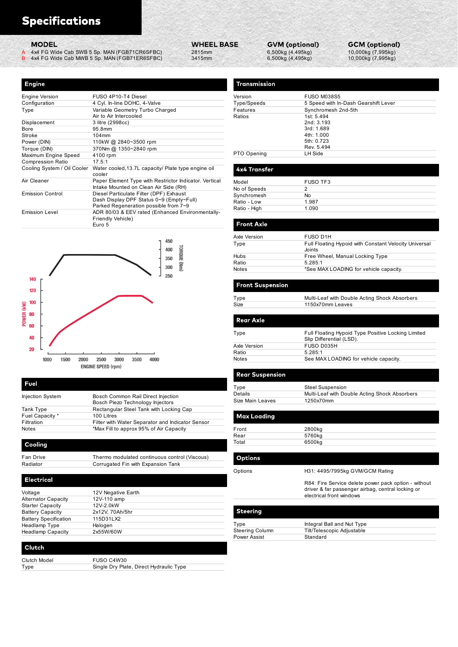| <b>Specifications</b>                |                                                                       |                   |                   |                           |            |
|--------------------------------------|-----------------------------------------------------------------------|-------------------|-------------------|---------------------------|------------|
|                                      |                                                                       |                   |                   |                           |            |
|                                      |                                                                       |                   |                   |                           |            |
| <b>MODEL</b>                         |                                                                       | <b>WHEEL BASE</b> |                   | <b>GVM (optional)</b>     | <b>GCN</b> |
| A                                    | 4x4 FG Wide Cab SWB 5 Sp. MAN (FGB71CR6SFBC)                          | 2815mm            |                   | 6,500kg (4,495kg)         | 10,00      |
| B                                    | 4x4 FG Wide Cab MWB 5 Sp. MAN (FGB71ER6SFBC)                          | 3415mm            |                   | 6,500kg (4,495kg)         | 10,00      |
|                                      |                                                                       |                   |                   |                           |            |
|                                      |                                                                       |                   |                   |                           |            |
| <b>Engine</b>                        |                                                                       |                   | Transmission      |                           |            |
|                                      |                                                                       |                   |                   |                           |            |
| <b>Engine Version</b>                | FUSO 4P10-T4 Diesel                                                   |                   | Version           | <b>FUSO M038S5</b>        |            |
| Configuration                        | 4 Cyl. In-line DOHC, 4-Valve                                          |                   | Type/Speeds       | 5 Speed with In-Dash G    |            |
| Type                                 | Variable Geometry Turbo Charged                                       |                   | Features          | Synchromesh 2nd-5th       |            |
|                                      | Air to Air Intercooled                                                |                   | Ratios            | 1st: 5.494                |            |
| Displacement                         | 3 litre (2998cc)                                                      |                   |                   | 2nd: 3.193                |            |
| Bore                                 | 95.8mm                                                                |                   |                   | 3rd: 1.689                |            |
| Stroke                               | 104mm                                                                 |                   |                   | 4th: 1.000<br>5th: 0.723  |            |
| Power (DIN)                          | 110kW @ 2840~3500 rpm                                                 |                   |                   | Rev. 5.494                |            |
| Torque (DIN)<br>Maximum Engine Speed | 370Nm @ 1350~2840 rpm<br>4100 rpm                                     |                   | PTO Opening       | LH Side                   |            |
| <b>Compression Ratio</b>             | 17.5:1                                                                |                   |                   |                           |            |
| Cooling System / Oil Cooler          | Water cooled, 13.7L capacity/ Plate type engine oil                   |                   | 4x4 Transfer      |                           |            |
|                                      | cooler                                                                |                   |                   |                           |            |
| Air Cleaner                          | Paper Element Type with Restrictor Indicator. Vertical                |                   | Model             | <b>FUSO TF3</b>           |            |
|                                      | Intake Mounted on Clean Air Side (RH)                                 |                   | No of Speeds      | $\overline{2}$            |            |
| <b>Emission Control</b>              | Diesel Particulate Filter (DPF) Exhaust                               |                   | Synchromesh       | <b>No</b>                 |            |
|                                      | Dash Display DPF Status 0~9 (Empty~Full)                              |                   | Ratio - Low       | 1.987                     |            |
|                                      | Parked Regeneration possible from 7~9                                 |                   | Ratio - High      | 1.090                     |            |
| <b>Emission Level</b>                | ADR 80/03 & EEV rated (Enhanced Environmentally-<br>Friendly Vehicle) |                   |                   |                           |            |
|                                      | Euro 5                                                                |                   | <b>Front Axle</b> |                           |            |
|                                      |                                                                       |                   |                   |                           |            |
|                                      |                                                                       |                   | Axle Version      | FUSO D <sub>1</sub> H     |            |
|                                      | 450                                                                   |                   | Type              | Full Floating Hypoid with |            |
|                                      | 400                                                                   | TOROUE            |                   | Joints                    |            |
|                                      | 350                                                                   |                   | <b>Hubs</b>       | Free Wheel, Manual Lo     |            |
|                                      |                                                                       |                   |                   |                           |            |



| Voltage                      | 12V Negative Earth |  |
|------------------------------|--------------------|--|
| <b>Alternator Capacity</b>   | 12V-110 amp        |  |
| <b>Starter Capacity</b>      | 12V-2.0kW          |  |
| <b>Battery Capacity</b>      | 2x12V, 70Ah/5hr    |  |
| <b>Battery Specification</b> | 115D31LX2          |  |
| Headlamp Type                | Halogen            |  |
| <b>Headlamp Capacity</b>     | 2x55W/60W          |  |

| Clutch Model | FUSO C4W30                              |
|--------------|-----------------------------------------|
| Type         | Single Dry Plate, Direct Hydraulic Type |

|                                                                       |                                                                                                                                                                                                                                 |                                                                     | 10,000kg (7,995kg)<br>6,500kg (4,495kg)                                                                        |
|-----------------------------------------------------------------------|---------------------------------------------------------------------------------------------------------------------------------------------------------------------------------------------------------------------------------|---------------------------------------------------------------------|----------------------------------------------------------------------------------------------------------------|
| <b>Engine</b>                                                         |                                                                                                                                                                                                                                 | Transmission                                                        |                                                                                                                |
| <b>Engine Version</b><br>Configuration<br>Type<br>Displacement        | FUSO 4P10-T4 Diesel<br>4 Cyl. In-line DOHC, 4-Valve<br>Variable Geometry Turbo Charged<br>Air to Air Intercooled<br>3 litre (2998cc)                                                                                            | Version<br>Type/Speeds<br>Features<br>Ratios                        | <b>FUSO M038S5</b><br>5 Speed with In-Dash Gearshift Lever<br>Synchromesh 2nd-5th<br>1st: 5.494<br>2nd: 3.193  |
| Bore<br>Stroke<br>Power (DIN)<br>Torque (DIN)<br>Maximum Engine Speed | 95.8mm<br>104mm<br>110kW @ 2840~3500 rpm<br>370Nm @ 1350~2840 rpm<br>4100 rpm                                                                                                                                                   | PTO Opening                                                         | 3rd: 1.689<br>4th: 1.000<br>5th: 0.723<br>Rev. 5.494<br>LH Side                                                |
| <b>Compression Ratio</b>                                              | 17.5:1<br>Cooling System / Oil Cooler Water cooled, 13.7L capacity/ Plate type engine oil<br>cooler                                                                                                                             | 4x4 Transfer                                                        |                                                                                                                |
| Air Cleaner<br><b>Emission Control</b>                                | Paper Element Type with Restrictor Indicator. Vertical<br>Intake Mounted on Clean Air Side (RH)<br>Diesel Particulate Filter (DPF) Exhaust<br>Dash Display DPF Status 0~9 (Empty~Full)<br>Parked Regeneration possible from 7~9 | Model<br>No of Speeds<br>Synchromesh<br>Ratio - Low<br>Ratio - High | FUSO TF3<br>$\overline{a}$<br>No<br>1.987<br>1.090                                                             |
| <b>Emission Level</b>                                                 | ADR 80/03 & EEV rated (Enhanced Environmentally-<br>Friendly Vehicle)<br>Euro 5                                                                                                                                                 | <b>Front Axle</b>                                                   |                                                                                                                |
|                                                                       | 450<br>400                                                                                                                                                                                                                      | Axle Version<br>Type<br>Hubs                                        | FUSO D1H<br>Full Floating Hypoid with Constant Velocity Universal<br>Joints<br>Free Wheel, Manual Locking Type |
|                                                                       | TORQUE (Nm)<br>350<br>300                                                                                                                                                                                                       | Ratio<br>Notes                                                      | 5.285:1<br>*See MAX LOADING for vehicle capacity.                                                              |
| 140<br>120                                                            | 250                                                                                                                                                                                                                             | <b>Front Suspension</b>                                             |                                                                                                                |
| 100                                                                   |                                                                                                                                                                                                                                 | Type<br>Size                                                        | Multi-Leaf with Double Acting Shock Absorbers<br>1150x70mm Leaves                                              |
| POWER (KW)<br>80<br>60<br>60<br>60                                    |                                                                                                                                                                                                                                 | <b>Rear Axle</b>                                                    |                                                                                                                |
| 40                                                                    |                                                                                                                                                                                                                                 | Type                                                                | Full Floating Hypoid Type Positive Locking Limited<br>Slip Differential (LSD).                                 |
| 20<br>1500<br>1000                                                    | 3000<br>2000<br>2500<br>3500<br>4000                                                                                                                                                                                            | Axle Version<br>Ratio<br>Notes                                      | FUSO D035H<br>5.285:1<br>See MAX LOADING for vehicle capacity.                                                 |
|                                                                       | <b>ENGINE SPEED (rpm)</b>                                                                                                                                                                                                       | <b>Rear Suspension</b>                                              |                                                                                                                |
| Fuel                                                                  |                                                                                                                                                                                                                                 | Type<br>Details                                                     | <b>Steel Suspension</b><br>Multi-Leaf with Double Acting Shock Absorbers                                       |
| Injection System<br>Tank Type                                         | Bosch Common Rail Direct Injection<br>Bosch Piezo Technology Injectors<br>Rectangular Steel Tank with Locking Cap                                                                                                               | Size Main Leaves                                                    | 1250x70mm                                                                                                      |
| Fuel Capacity *<br>Filtration                                         | 100 Litres<br>Filter with Water Separator and Indicator Sensor                                                                                                                                                                  | <b>Max Loading</b>                                                  |                                                                                                                |
| Notes                                                                 | *Max Fill to approx 95% of Air Capacity                                                                                                                                                                                         | Front<br>Rear<br>Total                                              | 2800kg<br>5760kg<br>6500kg                                                                                     |
| Cooling<br>Fan Drive                                                  | Thermo modulated continuous control (Viscous)                                                                                                                                                                                   | <b>Options</b>                                                      |                                                                                                                |
| Radiator                                                              | Corrugated Fin with Expansion Tank                                                                                                                                                                                              | Options                                                             | H31: 4495/7995kg GVM/GCM Rating                                                                                |
| <b>Electrical</b>                                                     |                                                                                                                                                                                                                                 |                                                                     | R84: Fire Service delete power pack option - without<br>driver & far passenger airbag, central locking or      |
| Voltage<br>Alternator Capacity<br><b>Starter Capacity</b>             | 12V Negative Earth<br>12V-110 amp<br>12V-2.0kW                                                                                                                                                                                  |                                                                     | electrical front windows                                                                                       |
| <b>Battery Capacity</b><br><b>Battery Specification</b>               | 2x12V, 70Ah/5hr<br>115D31LX2                                                                                                                                                                                                    | <b>Steering</b>                                                     |                                                                                                                |
| Headlamp Type<br><b>Headlamp Capacity</b>                             | Halogen<br>2x55W/60W                                                                                                                                                                                                            | Type<br><b>Steering Column</b>                                      | Integral Ball and Nut Type<br>Tilt/Telescopic Adjustable                                                       |
| Clutch                                                                |                                                                                                                                                                                                                                 | <b>Power Assist</b>                                                 | Standard                                                                                                       |
| Clutch Model                                                          | FUSO C4W30                                                                                                                                                                                                                      |                                                                     |                                                                                                                |

| Type            | Integral Ball and Nut Type |
|-----------------|----------------------------|
| Steering Column | Tilt/Telescopic Adjustable |
| Power Assist    | Standard                   |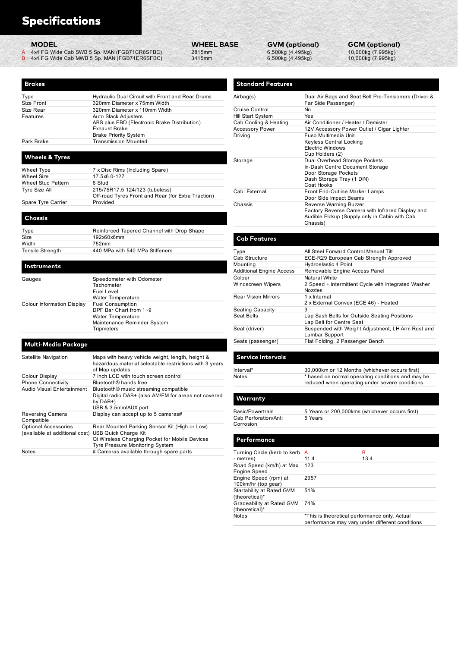| <b>Specifications</b>                             |                                                                                              |                   |                                        |                                            |                                                      |
|---------------------------------------------------|----------------------------------------------------------------------------------------------|-------------------|----------------------------------------|--------------------------------------------|------------------------------------------------------|
|                                                   |                                                                                              |                   |                                        |                                            |                                                      |
|                                                   |                                                                                              |                   |                                        |                                            |                                                      |
|                                                   |                                                                                              |                   |                                        |                                            |                                                      |
| <b>MODEL</b>                                      |                                                                                              | <b>WHEEL BASE</b> | <b>GVM (optional)</b>                  |                                            | <b>GCM</b> (optional)                                |
| A                                                 | 4x4 FG Wide Cab SWB 5 Sp. MAN (FGB71CR6SFBC)<br>4x4 FG Wide Cab MWB 5 Sp. MAN (FGB71ER6SFBC) | 2815mm<br>3415mm  | 6,500kg (4,495kg)<br>6,500kg (4,495kg) |                                            | 10,000kg (7,995kg)<br>10,000kg (7,995kg)             |
|                                                   |                                                                                              |                   |                                        |                                            |                                                      |
|                                                   |                                                                                              |                   |                                        |                                            |                                                      |
| <b>Brakes</b>                                     |                                                                                              |                   | <b>Standard Features</b>               |                                            |                                                      |
|                                                   |                                                                                              |                   |                                        |                                            |                                                      |
|                                                   | Hydraulic Dual Circuit with Front and Rear Drums                                             |                   | Airbag(s)                              |                                            | Dual Air Bags and Seat Belt Pre-Tensioners (Driver & |
|                                                   | 320mm Diameter x 75mm Width<br>320mm Diameter x 110mm Width                                  |                   | <b>Cruise Control</b>                  | Far Side Passenger)<br>No                  |                                                      |
|                                                   | Auto Slack Adjusters                                                                         |                   | <b>Hill Start System</b>               | Yes                                        |                                                      |
| Type<br>Size Front<br>Size Rear<br>Features       | ABS plus EBD (Electronic Brake Distribution)                                                 |                   | Cab Cooling & Heating                  |                                            | Air Conditioner / Heater / Demister                  |
|                                                   | <b>Exhaust Brake</b>                                                                         |                   | <b>Accessory Power</b>                 |                                            | 12V Accessory Power Outlet / Cigar Lighter           |
|                                                   | <b>Brake Priority System</b>                                                                 |                   | Driving                                | Fuso Multimedia Unit                       |                                                      |
|                                                   | <b>Transmission Mounted</b>                                                                  |                   |                                        | Keyless Central Locking                    |                                                      |
| Park Brake                                        |                                                                                              |                   |                                        | <b>Electric Windows</b><br>Cup Holders (2) |                                                      |
| <b>Wheels &amp; Tyres</b>                         |                                                                                              |                   | Storage                                |                                            | Dual Overhead Storage Pockets                        |
| Wheel Type                                        | 7 x Disc Rims (Including Spare)                                                              |                   |                                        |                                            | In-Dash Centre Document Storage                      |
|                                                   | 17.5x6.0-127                                                                                 |                   |                                        | Door Storage Pockets                       |                                                      |
| Wheel Size<br>Wheel Stud Pattern<br>Tyre Size All | 6 Stud<br>215/75R17 5 124/123 (tubeless)                                                     |                   |                                        | Dash Storage Tray (1 DIN)<br>Coat Hooks    |                                                      |

| Wheel Type         | 7 x Disc Rims (Including Spare)                    |               |
|--------------------|----------------------------------------------------|---------------|
| Wheel Size         | 17.5x6.0-127                                       |               |
| Wheel Stud Pattern | 6 Stud                                             |               |
| Tyre Size All      | 215/75R17.5 124/123 (tubeless)                     | Cab: External |
|                    | Off-road Tyres Front and Rear (for Extra Traction) |               |
| Spare Tyre Carrier | Provided                                           | Chaccic       |

|                             | <b>MOUTHING</b>                                |
|-----------------------------|------------------------------------------------|
|                             | <b>Additional Engine Acce</b>                  |
|                             | Colour                                         |
| Tachometer                  | Windscreen Wipers                              |
| <b>Water Temperature</b>    | <b>Rear Vision Mirrors</b>                     |
| <b>Fuel Consumption</b>     |                                                |
| DPF Bar Chart from 1~9      | <b>Seating Capacity</b>                        |
| <b>Water Temperature</b>    | <b>Seat Belts</b>                              |
| Maintenance Reminder System |                                                |
| Tripmeters                  | Seat (driver)                                  |
|                             | Speedometer with Odometer<br><b>Fuel Level</b> |

| <b>Wheel Size</b>                                                                  | 17.5x6.0-127                                                                                                |                                                     | Door Olorago i oollolo<br>Dash Storage Tray (1 DIN)                                                 |
|------------------------------------------------------------------------------------|-------------------------------------------------------------------------------------------------------------|-----------------------------------------------------|-----------------------------------------------------------------------------------------------------|
| <b>Wheel Stud Pattern</b>                                                          | 6 Stud                                                                                                      |                                                     | Coat Hooks                                                                                          |
| <b>Tyre Size All</b>                                                               | 215/75R17.5 124/123 (tubeless)<br>Off-road Tyres Front and Rear (for Extra Traction)                        | Cab: External                                       | Front End-Outline Marker Lam<br>Door Side Impact Beams                                              |
| Spare Tyre Carrier<br><b>Chassis</b>                                               | Provided                                                                                                    | Chassis                                             | Reverse Warning Buzzer<br>Factory Reverse Camera with<br>Audible Pickup (Supply only in<br>Chassis) |
| Type                                                                               | Reinforced Tapered Channel with Drop Shape                                                                  |                                                     |                                                                                                     |
| Size                                                                               | 192x60x6mm                                                                                                  | <b>Cab Features</b>                                 |                                                                                                     |
| Width                                                                              | 752mm                                                                                                       |                                                     |                                                                                                     |
| <b>Tensile Strength</b>                                                            | 440 MPa with 540 MPa Stiffeners                                                                             | Type                                                | All Steel Forward Control Manu                                                                      |
|                                                                                    |                                                                                                             | Cab Structure                                       | ECE-R29 European Cab Stren                                                                          |
| Instruments                                                                        |                                                                                                             | Mounting                                            | Hydroelastic 4 Point                                                                                |
|                                                                                    |                                                                                                             | <b>Additional Engine Access</b>                     | Removable Engine Access Par                                                                         |
| Gauges                                                                             | Speedometer with Odometer                                                                                   | Colour                                              | <b>Natural White</b>                                                                                |
|                                                                                    | Tachometer<br><b>Fuel Level</b>                                                                             | <b>Windscreen Wipers</b>                            | 2 Speed + Intermittent Cycle w<br>Nozzles                                                           |
| Colour Information Display                                                         | Water Temperature<br><b>Fuel Consumption</b>                                                                | <b>Rear Vision Mirrors</b>                          | 1 x Internal<br>2 x External Convex (ECE 46) -                                                      |
|                                                                                    | DPF Bar Chart from 1~9                                                                                      | <b>Seating Capacity</b>                             | 3                                                                                                   |
|                                                                                    | Water Temperature<br>Maintenance Reminder System                                                            | Seat Belts                                          | Lap Sash Belts for Outside Se<br>Lap Belt for Centre Seat                                           |
|                                                                                    | Tripmeters                                                                                                  | Seat (driver)                                       | Suspended with Weight Adjust<br>Lumbar Support                                                      |
| Multi-Media Package                                                                |                                                                                                             | Seats (passenger)                                   | Flat Folding, 2 Passenger Ben                                                                       |
| Satellite Navigation                                                               | Maps with heavy vehicle weight, length, height &<br>hazardous material selectable restrictions with 3 years | <b>Service Intervals</b>                            |                                                                                                     |
| Colour Display                                                                     | of Map updates<br>7 inch LCD with touch screen control                                                      | Interval*                                           | 30,000km or 12 Months (which                                                                        |
| <b>Phone Connectivity</b>                                                          | Bluetooth <sup>®</sup> hands free                                                                           | <b>Notes</b>                                        | * based on normal operating co                                                                      |
| Audio Visual Entertainment                                                         | Bluetooth® music streaming compatible                                                                       |                                                     | reduced when operating under                                                                        |
|                                                                                    | Digital radio DAB+ (also AM/FM for areas not covered<br>by $DAB+$                                           | Warranty                                            |                                                                                                     |
|                                                                                    | USB & 3.5mm/AUX port                                                                                        | Basic/Powertrain                                    | 5 Years or 200,000kms (which                                                                        |
| Reversing Camera<br>Compatible                                                     | Display can accept up to 5 cameras#                                                                         | Cab Perforation/Anti<br>Corrosion                   | 5 Years                                                                                             |
| <b>Optional Accessories</b><br>(available at additional cost) USB Quick Charge Kit | Rear Mounted Parking Sensor Kit (High or Low)                                                               |                                                     |                                                                                                     |
|                                                                                    | Qi Wireless Charging Pocket for Mobile Devices<br>Tyre Pressure Monitoring System                           | Performance                                         |                                                                                                     |
| Notes                                                                              | # Cameras available through spare parts                                                                     | Turning Circle (kerb to kerb A<br>- metres)         | в<br>13.4<br>11.4                                                                                   |
|                                                                                    |                                                                                                             | Road Speed (km/h) at Max 123<br><b>Engine Speed</b> |                                                                                                     |
|                                                                                    |                                                                                                             | Engine Speed (rpm) at<br>100km/hr (top gear)        | 2957                                                                                                |
|                                                                                    |                                                                                                             | Startability at Rated GVM<br>(theoretical)*         | 51%                                                                                                 |

| <b>Specifications</b>             |                                                                                                             |                                       |                                                                 |                                                           |                                                                   |
|-----------------------------------|-------------------------------------------------------------------------------------------------------------|---------------------------------------|-----------------------------------------------------------------|-----------------------------------------------------------|-------------------------------------------------------------------|
| <b>MODEL</b>                      | 4x4 FG Wide Cab SWB 5 Sp. MAN (FGB71CR6SFBC)<br>4x4 FG Wide Cab MWB 5 Sp. MAN (FGB71ER6SFBC)                | <b>WHEEL BASE</b><br>2815mm<br>3415mm | <b>GVM (optional)</b><br>6,500kg (4,495kg)<br>6,500kg (4,495kg) |                                                           | <b>GCM</b> (optional)<br>10,000kg (7,995kg)<br>10,000kg (7,995kg) |
|                                   |                                                                                                             |                                       |                                                                 |                                                           |                                                                   |
| <b>Brakes</b>                     |                                                                                                             |                                       | <b>Standard Features</b>                                        |                                                           |                                                                   |
| Type                              | Hydraulic Dual Circuit with Front and Rear Drums                                                            |                                       | Airbag(s)                                                       |                                                           | Dual Air Bags and Seat Belt Pre-Tensioners (Driver &              |
| Size Front                        | 320mm Diameter x 75mm Width                                                                                 |                                       |                                                                 | Far Side Passenger)                                       |                                                                   |
| Size Rear                         | 320mm Diameter x 110mm Width                                                                                |                                       | Cruise Control                                                  | No                                                        |                                                                   |
| Features                          | Auto Slack Adjusters                                                                                        |                                       | Hill Start System                                               | Yes                                                       |                                                                   |
|                                   | ABS plus EBD (Electronic Brake Distribution)                                                                |                                       | Cab Cooling & Heating                                           |                                                           | Air Conditioner / Heater / Demister                               |
|                                   | Exhaust Brake                                                                                               |                                       | <b>Accessory Power</b>                                          |                                                           | 12V Accessory Power Outlet / Cigar Lighter                        |
|                                   | <b>Brake Priority System</b>                                                                                |                                       | Driving                                                         | Fuso Multimedia Unit                                      |                                                                   |
| Park Brake                        | <b>Transmission Mounted</b>                                                                                 |                                       |                                                                 | <b>Keyless Central Locking</b><br><b>Electric Windows</b> |                                                                   |
|                                   |                                                                                                             |                                       |                                                                 | Cup Holders (2)                                           |                                                                   |
| <b>Wheels &amp; Tyres</b>         |                                                                                                             |                                       | Storage                                                         |                                                           | Dual Overhead Storage Pockets                                     |
|                                   |                                                                                                             |                                       |                                                                 |                                                           | In-Dash Centre Document Storage                                   |
| Wheel Type                        | 7 x Disc Rims (Including Spare)                                                                             |                                       |                                                                 | Door Storage Pockets                                      |                                                                   |
| Wheel Size<br>Wheel Stud Pattern  | 17.5x6.0-127<br>6 Stud                                                                                      |                                       |                                                                 |                                                           | Dash Storage Tray (1 DIN)                                         |
| Tyre Size All                     | 215/75R17.5 124/123 (tubeless)                                                                              |                                       |                                                                 | Coat Hooks                                                |                                                                   |
|                                   | Off-road Tyres Front and Rear (for Extra Traction)                                                          |                                       | Cab: External                                                   |                                                           | Front End-Outline Marker Lamps                                    |
| Spare Tyre Carrier                | Provided                                                                                                    |                                       |                                                                 | Door Side Impact Beams                                    |                                                                   |
|                                   |                                                                                                             |                                       | Chassis                                                         | Reverse Warning Buzzer                                    | Factory Reverse Camera with Infrared Display and                  |
| Chassis                           |                                                                                                             |                                       |                                                                 |                                                           | Audible Pickup (Supply only in Cabin with Cab                     |
|                                   |                                                                                                             |                                       |                                                                 | Chassis)                                                  |                                                                   |
| Type                              | Reinforced Tapered Channel with Drop Shape                                                                  |                                       |                                                                 |                                                           |                                                                   |
| Size                              | 192x60x6mm                                                                                                  |                                       | <b>Cab Features</b>                                             |                                                           |                                                                   |
| Width                             | 752mm                                                                                                       |                                       |                                                                 |                                                           |                                                                   |
| Tensile Strength                  | 440 MPa with 540 MPa Stiffeners                                                                             |                                       | Type                                                            |                                                           | All Steel Forward Control Manual Tilt                             |
|                                   |                                                                                                             |                                       | Cab Structure                                                   |                                                           | ECE-R29 European Cab Strength Approved                            |
| Instruments                       |                                                                                                             |                                       | Mounting                                                        | Hydroelastic 4 Point                                      |                                                                   |
|                                   |                                                                                                             |                                       | <b>Additional Engine Access</b>                                 |                                                           | Removable Engine Access Panel                                     |
| Gauges                            | Speedometer with Odometer                                                                                   |                                       | Colour                                                          | Natural White                                             |                                                                   |
|                                   | Tachometer                                                                                                  |                                       | Windscreen Wipers                                               |                                                           | 2 Speed + Intermittent Cycle with Integrated Washer               |
|                                   | <b>Fuel Level</b>                                                                                           |                                       |                                                                 | Nozzles                                                   |                                                                   |
|                                   | Water Temperature                                                                                           |                                       | <b>Rear Vision Mirrors</b>                                      | 1 x Internal                                              |                                                                   |
| <b>Colour Information Display</b> | <b>Fuel Consumption</b>                                                                                     |                                       |                                                                 |                                                           | 2 x External Convex (ECE 46) - Heated                             |
|                                   | DPF Bar Chart from 1~9                                                                                      |                                       | <b>Seating Capacity</b>                                         | 3                                                         |                                                                   |
|                                   | Water Temperature                                                                                           |                                       | Seat Belts                                                      |                                                           | Lap Sash Belts for Outside Seating Positions                      |
|                                   | Maintenance Reminder System                                                                                 |                                       |                                                                 | Lap Belt for Centre Seat                                  |                                                                   |
|                                   | <b>Tripmeters</b>                                                                                           |                                       | Seat (driver)                                                   | Lumbar Support                                            | Suspended with Weight Adjustment, LH Arm Rest and                 |
|                                   |                                                                                                             |                                       |                                                                 |                                                           | Flat Folding, 2 Passenger Bench                                   |
| Multi-Media Package               |                                                                                                             |                                       | Seats (passenger)                                               |                                                           |                                                                   |
|                                   |                                                                                                             |                                       |                                                                 |                                                           |                                                                   |
| Satellite Navigation              | Maps with heavy vehicle weight, length, height &<br>hazardous material selectable restrictions with 3 years |                                       | <b>Service Intervals</b>                                        |                                                           |                                                                   |
|                                   |                                                                                                             |                                       |                                                                 |                                                           |                                                                   |

|                                                     | <b>Exhaust Brake</b>                                    | <b>Accessory Power</b>                | 12V Accessory Power Outlet / Cigar Lighter                               |
|-----------------------------------------------------|---------------------------------------------------------|---------------------------------------|--------------------------------------------------------------------------|
|                                                     | <b>Brake Priority System</b>                            | Driving                               | Fuso Multimedia Unit                                                     |
| Park Brake                                          | <b>Transmission Mounted</b>                             |                                       | <b>Keyless Central Locking</b>                                           |
|                                                     |                                                         |                                       | <b>Electric Windows</b>                                                  |
| <b>Wheels &amp; Tyres</b>                           |                                                         |                                       | Cup Holders (2)                                                          |
|                                                     |                                                         | Storage                               | Dual Overhead Storage Pockets                                            |
| Wheel Type                                          | 7 x Disc Rims (Including Spare)                         |                                       | In-Dash Centre Document Storage                                          |
| Wheel Size                                          | 17.5x6.0-127                                            |                                       | Door Storage Pockets                                                     |
| Wheel Stud Pattern                                  | 6 Stud                                                  |                                       | Dash Storage Tray (1 DIN)                                                |
| Tyre Size All                                       | 215/75R17.5 124/123 (tubeless)                          |                                       | Coat Hooks                                                               |
|                                                     | Off-road Tyres Front and Rear (for Extra Traction)      | Cab: External                         | Front End-Outline Marker Lamps<br>Door Side Impact Beams                 |
| Spare Tyre Carrier                                  | Provided                                                | Chassis                               | Reverse Warning Buzzer                                                   |
|                                                     |                                                         |                                       | Factory Reverse Camera with Infrared Display and                         |
| <b>Chassis</b>                                      |                                                         |                                       | Audible Pickup (Supply only in Cabin with Cab<br>Chassis)                |
| Type                                                | Reinforced Tapered Channel with Drop Shape              |                                       |                                                                          |
| Size                                                | 192x60x6mm                                              | <b>Cab Features</b>                   |                                                                          |
| Width                                               | 752mm                                                   |                                       |                                                                          |
| Tensile Strength                                    | 440 MPa with 540 MPa Stiffeners                         | Type                                  | All Steel Forward Control Manual Tilt                                    |
|                                                     |                                                         | Cab Structure                         | ECE-R29 European Cab Strength Approved                                   |
| <b>Instruments</b>                                  |                                                         | Mounting                              | Hydroelastic 4 Point                                                     |
|                                                     |                                                         | <b>Additional Engine Access</b>       | Removable Engine Access Panel                                            |
| Gauges                                              | Speedometer with Odometer                               | Colour                                | Natural White                                                            |
|                                                     | Tachometer                                              | Windscreen Wipers                     | 2 Speed + Intermittent Cycle with Integrated Washer                      |
|                                                     | <b>Fuel Level</b>                                       |                                       | Nozzles                                                                  |
|                                                     | <b>Water Temperature</b>                                | <b>Rear Vision Mirrors</b>            | 1 x Internal                                                             |
| Colour Information Display                          | <b>Fuel Consumption</b>                                 |                                       | 2 x External Convex (ECE 46) - Heated<br>3                               |
|                                                     | DPF Bar Chart from 1~9                                  | <b>Seating Capacity</b><br>Seat Belts |                                                                          |
|                                                     | Water Temperature                                       |                                       | Lap Sash Belts for Outside Seating Positions<br>Lap Belt for Centre Seat |
|                                                     | Maintenance Reminder System                             |                                       | Suspended with Weight Adjustment, LH Arm Rest and                        |
|                                                     | Tripmeters                                              | Seat (driver)                         | Lumbar Support                                                           |
|                                                     |                                                         | Seats (passenger)                     | Flat Folding, 2 Passenger Bench                                          |
| <b>Multi-Media Package</b>                          |                                                         |                                       |                                                                          |
| Satellite Navigation                                | Maps with heavy vehicle weight, length, height &        | <b>Service Intervals</b>              |                                                                          |
|                                                     | hazardous material selectable restrictions with 3 years |                                       |                                                                          |
|                                                     | of Map updates                                          | Interval*                             | 30,000km or 12 Months (whichever occurs first)                           |
| Colour Display                                      | 7 inch LCD with touch screen control                    | Notes                                 | * based on normal operating conditions and may be                        |
| <b>Phone Connectivity</b>                           | Bluetooth <sup>®</sup> hands free                       |                                       | reduced when operating under severe conditions.                          |
| Audio Visual Entertainment                          | Bluetooth <sup>®</sup> music streaming compatible       |                                       |                                                                          |
|                                                     | Digital radio DAB+ (also AM/FM for areas not covered    | Warranty                              |                                                                          |
|                                                     | by $DAB+$                                               |                                       |                                                                          |
|                                                     | USB & 3.5mm/AUX port                                    | Basic/Powertrain                      | 5 Years or 200,000kms (whichever occurs first)                           |
| Reversing Camera                                    | Display can accept up to 5 cameras#                     | Cab Perforation/Anti                  | 5 Years                                                                  |
| Compatible                                          |                                                         | Corrosion                             |                                                                          |
| <b>Optional Accessories</b>                         | Rear Mounted Parking Sensor Kit (High or Low)           |                                       |                                                                          |
| (available at additional cost) USB Quick Charge Kit |                                                         |                                       |                                                                          |
|                                                     | Qi Wireless Charging Pocket for Mobile Devices          | Performance                           |                                                                          |
|                                                     | Tyre Pressure Monitoring System                         |                                       |                                                                          |
| Notes                                               | # Cameras available through spare parts                 | Turning Circle (kerb to kerb A        | в                                                                        |
|                                                     |                                                         | - metres)                             | 13.4<br>11.4                                                             |

| าterval* | 30,000km or 12 Months (whichever occurs first)                                                       |
|----------|------------------------------------------------------------------------------------------------------|
| lotes    | * based on normal operating conditions and may be<br>reduced when operating under severe conditions. |
|          |                                                                                                      |
|          |                                                                                                      |

## Performance Turning Circle (kerb to kerb A B A

|                                                       | Lap Sash Belts for Outside Seating Positions<br>Lap Belt for Centre Seat                             |                                                |  |
|-------------------------------------------------------|------------------------------------------------------------------------------------------------------|------------------------------------------------|--|
| Seat (driver)                                         | Suspended with Weight Adjustment, LH Arm Rest and<br>Lumbar Support                                  |                                                |  |
| Seats (passenger)                                     | Flat Folding, 2 Passenger Bench                                                                      |                                                |  |
| <b>Service Intervals</b>                              |                                                                                                      |                                                |  |
| Interval*                                             | 30,000km or 12 Months (whichever occurs first)                                                       |                                                |  |
| Notes                                                 | * based on normal operating conditions and may be<br>reduced when operating under severe conditions. |                                                |  |
| <b>Warranty</b>                                       |                                                                                                      |                                                |  |
| Basic/Powertrain<br>Cab Perforation/Anti<br>Corrosion | 5 Years                                                                                              | 5 Years or 200,000kms (whichever occurs first) |  |
| <b>Performance</b>                                    |                                                                                                      |                                                |  |
| Turning Circle (kerb to kerb A<br>- metres)           | 11.4                                                                                                 | В<br>13.4                                      |  |
| Road Speed (km/h) at Max<br><b>Engine Speed</b>       | 123                                                                                                  |                                                |  |
| Engine Speed (rpm) at<br>100km/hr (top gear)          | 2957                                                                                                 |                                                |  |
| Startability at Rated GVM<br>(theoretical)*           | 51%                                                                                                  |                                                |  |
| Gradeability at Rated GVM<br>(theoretical)*           | 74%                                                                                                  |                                                |  |
| <b>Notes</b>                                          | *This is theoretical performance only. Actual<br>performance may vary under different conditions     |                                                |  |